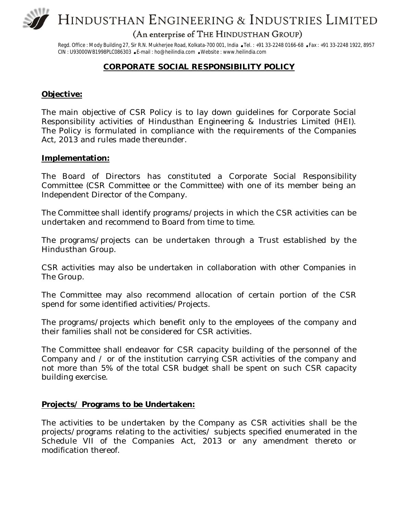

HINDUSTHAN ENGINEERING & INDUSTRIES LIMITED

(An enterprise of THE HINDUSTHAN GROUP)

Regd. Office: Mody Building 27, Sir R.N. Mukherjee Road, Kolkata-700 001, India .Tel.: +91 33-2248 0166-68 .Fax: +91 33-2248 1922, 8957 CIN : U93000WB1998PLC086303 E-mail : ho@heilindia.com Website : www.heilindia.com

### **CORPORATE SOCIAL RESPONSIBILITY POLICY**

### **Objective:**

The main objective of CSR Policy is to lay down guidelines for Corporate Social Responsibility activities of Hindusthan Engineering & Industries Limited (HEI). The Policy is formulated in compliance with the requirements of the Companies Act, 2013 and rules made thereunder.

#### **Implementation:**

The Board of Directors has constituted a Corporate Social Responsibility Committee (CSR Committee or the Committee) with one of its member being an Independent Director of the Company.

The Committee shall identify programs/projects in which the CSR activities can be undertaken and recommend to Board from time to time.

The programs/projects can be undertaken through a Trust established by the Hindusthan Group.

CSR activities may also be undertaken in collaboration with other Companies in The Group.

The Committee may also recommend allocation of certain portion of the CSR spend for some identified activities/Projects.

The programs/projects which benefit only to the employees of the company and their families shall not be considered for CSR activities.

The Committee shall endeavor for CSR capacity building of the personnel of the Company and / or of the institution carrying CSR activities of the company and not more than 5% of the total CSR budget shall be spent on such CSR capacity building exercise.

### **Projects/ Programs to be Undertaken:**

The activities to be undertaken by the Company as CSR activities shall be the projects/programs relating to the activities/ subjects specified enumerated in the Schedule VII of the Companies Act, 2013 or any amendment thereto or modification thereof.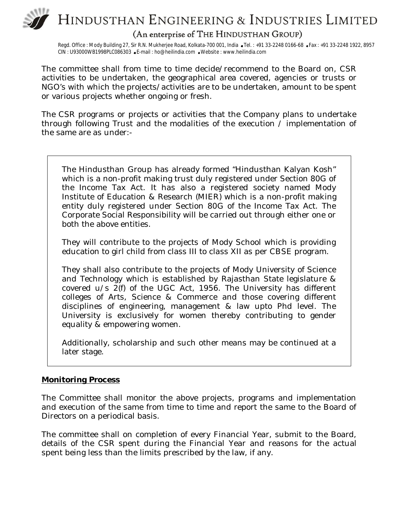# HINDUSTHAN ENGINEERING & INDUSTRIES LIMITED

(An enterprise of THE HINDUSTHAN GROUP)

Regd. Office : Mody Building 27, Sir R.N. Mukherjee Road, Kolkata-700 001, India •Tel. : +91 33-2248 0166-68 •Fax : +91 33-2248 1922, 8957 CIN : U93000WB1998PLC086303 E-mail : ho@heilindia.com Website : www.heilindia.com

The committee shall from time to time decide/recommend to the Board on, CSR activities to be undertaken, the geographical area covered, agencies or trusts or NGO's with which the projects/activities are to be undertaken, amount to be spent or various projects whether ongoing or fresh.

The CSR programs or projects or activities that the Company plans to undertake through following Trust and the modalities of the execution / implementation of the same are as under:-

The Hindusthan Group has already formed "Hindusthan Kalyan Kosh" which is a non-profit making trust duly registered under Section 80G of the Income Tax Act. It has also a registered society named Mody Institute of Education & Research (MIER) which is a non-profit making entity duly registered under Section 80G of the Income Tax Act. The Corporate Social Responsibility will be carried out through either one or both the above entities.

They will contribute to the projects of Mody School which is providing education to girl child from class III to class XII as per CBSE program.

They shall also contribute to the projects of Mody University of Science and Technology which is established by Rajasthan State legislature & covered u/s 2(f) of the UGC Act, 1956. The University has different colleges of Arts, Science & Commerce and those covering different disciplines of engineering, management & law upto Phd level. The University is exclusively for women thereby contributing to gender equality & empowering women.

Additionally, scholarship and such other means may be continued at a later stage.

### **Monitoring Process**

The Committee shall monitor the above projects, programs and implementation and execution of the same from time to time and report the same to the Board of Directors on a periodical basis.

The committee shall on completion of every Financial Year, submit to the Board, details of the CSR spent during the Financial Year and reasons for the actual spent being less than the limits prescribed by the law, if any.